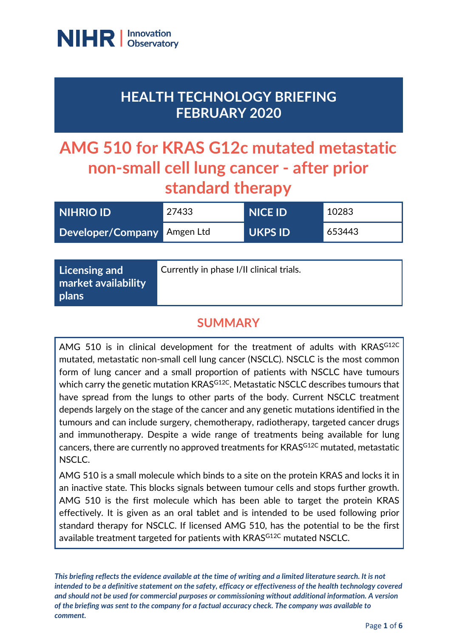

# **HEALTH TECHNOLOGY BRIEFING FEBRUARY 2020**

# **AMG 510 for KRAS G12c mutated metastatic non-small cell lung cancer - after prior standard therapy**

| <b>NIHRIO ID</b>            | 27433 | <b>NICE ID</b> | 10283  |
|-----------------------------|-------|----------------|--------|
| Developer/Company Amgen Ltd |       | UKPS ID        | 653443 |

| Licensing and<br>market availability | Currently in phase I/II clinical trials. |
|--------------------------------------|------------------------------------------|
| plans                                |                                          |

# **SUMMARY**

AMG 510 is in clinical development for the treatment of adults with KRASG12C mutated, metastatic non-small cell lung cancer (NSCLC). NSCLC is the most common form of lung cancer and a small proportion of patients with NSCLC have tumours which carry the genetic mutation KRAS<sup>G12C</sup>. Metastatic NSCLC describes tumours that have spread from the lungs to other parts of the body. Current NSCLC treatment depends largely on the stage of the cancer and any genetic mutations identified in the tumours and can include surgery, chemotherapy, radiotherapy, targeted cancer drugs and immunotherapy. Despite a wide range of treatments being available for lung cancers, there are currently no approved treatments for KRAS<sup>G12C</sup> mutated, metastatic NSCLC.

AMG 510 is a small molecule which binds to a site on the protein KRAS and locks it in an inactive state. This blocks signals between tumour cells and stops further growth. AMG 510 is the first molecule which has been able to target the protein KRAS effectively. It is given as an oral tablet and is intended to be used following prior standard therapy for NSCLC. If licensed AMG 510, has the potential to be the first available treatment targeted for patients with KRAS<sup>G12C</sup> mutated NSCLC.

*This briefing reflects the evidence available at the time of writing and a limited literature search. It is not intended to be a definitive statement on the safety, efficacy or effectiveness of the health technology covered and should not be used for commercial purposes or commissioning without additional information. A version of the briefing was sent to the company for a factual accuracy check. The company was available to comment.*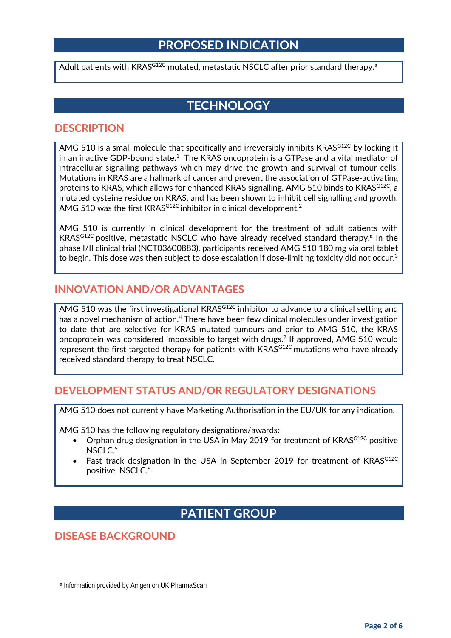### **PROPOSED INDICATION**

Adult p[a](#page-1-0)tients with KRAS<sup>G12C</sup> mutated, metastatic NSCLC after prior standard therapy.<sup>a</sup>

### **TECHNOLOGY**

#### **DESCRIPTION**

AMG 510 is a small molecule that specifically and irreversibly inhibits KRAS<sup>G12C</sup> by locking it in an inactive GDP-bound state.<sup>1</sup> The KRAS oncoprotein is a GTPase and a vital mediator of intracellular signalling pathways which may drive the growth and survival of tumour cells. Mutations in KRAS are a hallmark of cancer and prevent the association of GTPase-activating proteins to KRAS, which allows for enhanced KRAS signalling. AMG 510 binds to KRASG12C, a mutated cysteine residue on KRAS, and has been shown to inhibit cell signalling and growth. AMG 510 was the first KRAS<sup>G12C</sup> inhibitor in clinical development.<sup>2</sup>

AMG 510 is currently in clinical development for the treatment of adult patients with KRAS<sup>G12C</sup> positive, metastatic NSCLC who have already received standard therapy.<sup>a</sup> In the phase I/II clinical trial (NCT03600883), participants received AMG 510 180 mg via oral tablet to begin. This dose was then subject to dose escalation if dose-limiting toxicity did not occur.<sup>3</sup>

#### **INNOVATION AND/OR ADVANTAGES**

AMG 510 was the first investigational KRAS<sup>G12C</sup> inhibitor to advance to a clinical setting and has a novel mechanism of action. <sup>4</sup> There have been few clinical molecules under investigation to date that are selective for KRAS mutated tumours and prior to AMG 510, the KRAS oncoprotein was considered impossible to target with drugs.2 If approved, AMG 510 would represent the first targeted therapy for patients with KRAS<sup>G12C</sup> mutations who have already received standard therapy to treat NSCLC.

#### **DEVELOPMENT STATUS AND/OR REGULATORY DESIGNATIONS**

AMG 510 does not currently have Marketing Authorisation in the EU/UK for any indication.

AMG 510 has the following regulatory designations/awards:

- Orphan drug designation in the USA in May 2019 for treatment of KRAS<sup>G12C</sup> positive NSCLC. 5
- Fast track designation in the USA in September 2019 for treatment of KRASG12C positive NSCLC. 6

## **PATIENT GROUP**

### **DISEASE BACKGROUND**

<span id="page-1-0"></span> $\overline{a}$ 

<sup>a</sup> Information provided by Amgen on UK PharmaScan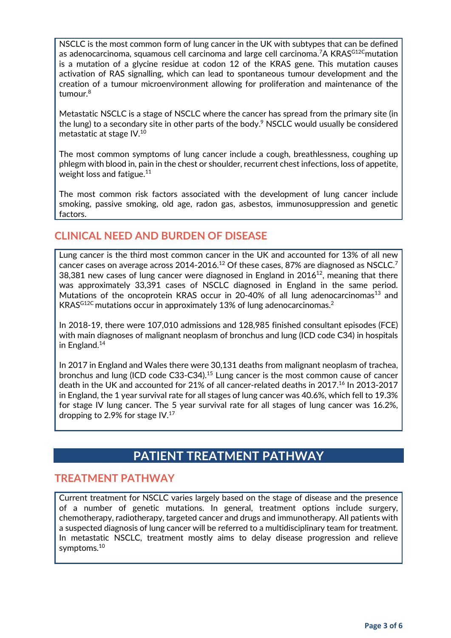NSCLC is the most common form of lung cancer in the UK with subtypes that can be defined as adenocarcinoma, squamous cell carcinoma and large cell carcinoma.<sup>7</sup>A KRAS<sup>G12C</sup>mutation is a mutation of a glycine residue at codon 12 of the KRAS gene. This mutation causes activation of RAS signalling, which can lead to spontaneous tumour development and the creation of a tumour microenvironment allowing for proliferation and maintenance of the tumour. 8

Metastatic NSCLC is a stage of NSCLC where the cancer has spread from the primary site (in the lung) to a secondary site in other parts of the body. $9$  NSCLC would usually be considered metastatic at stage IV. 10

The most common symptoms of lung cancer include a cough, breathlessness, coughing up phlegm with blood in, pain in the chest or shoulder, recurrent chest infections, loss of appetite, weight loss and fatigue.<sup>11</sup>

The most common risk factors associated with the development of lung cancer include smoking, passive smoking, old age, radon gas, asbestos, immunosuppression and genetic factors.

#### **CLINICAL NEED AND BURDEN OF DISEASE**

Lung cancer is the third most common cancer in the UK and accounted for 13% of all new cancer cases on average across 2014-2016.<sup>12</sup> Of these cases, 87% are diagnosed as NSCLC.<sup>7</sup> 38,381 new cases of lung cancer were diagnosed in England in  $2016^{12}$ , meaning that there was approximately 33,391 cases of NSCLC diagnosed in England in the same period. Mutations of the oncoprotein KRAS occur in 20-40% of all lung adenocarcinomas<sup>13</sup> and KRAS<sup>G12C</sup> mutations occur in approximately 13% of lung adenocarcinomas.<sup>2</sup>

In 2018-19, there were 107,010 admissions and 128,985 finished consultant episodes (FCE) with main diagnoses of malignant neoplasm of bronchus and lung (ICD code C34) in hospitals in England. 14

In 2017 in England and Wales there were 30,131 deaths from malignant neoplasm of trachea, bronchus and lung (ICD code C33-C34).15 Lung cancer is the most common cause of cancer death in the UK and accounted for 21% of all cancer-related deaths in 2017.<sup>16</sup> In 2013-2017 in England, the 1 year survival rate for all stages of lung cancer was 40.6%, which fell to 19.3% for stage IV lung cancer. The 5 year survival rate for all stages of lung cancer was 16.2%, dropping to 2.9% for stage IV.17

### **PATIENT TREATMENT PATHWAY**

#### **TREATMENT PATHWAY**

Current treatment for NSCLC varies largely based on the stage of disease and the presence of a number of genetic mutations. In general, treatment options include surgery, chemotherapy, radiotherapy, targeted cancer and drugs and immunotherapy. All patients with a suspected diagnosis of lung cancer will be referred to a multidisciplinary team for treatment. In metastatic NSCLC, treatment mostly aims to delay disease progression and relieve symptoms.10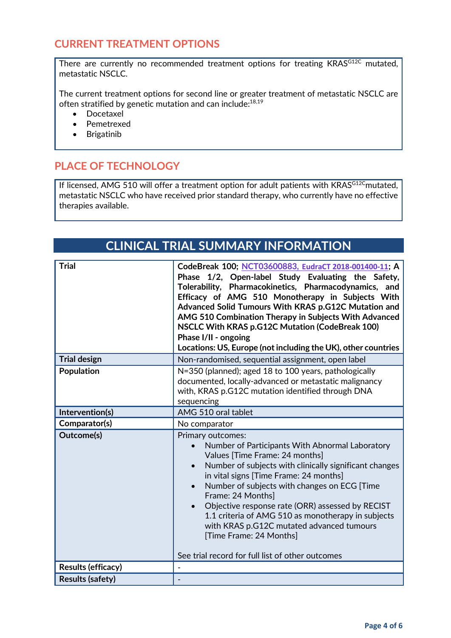#### **CURRENT TREATMENT OPTIONS**

There are currently no recommended treatment options for treating KRAS<sup>G12C</sup> mutated, metastatic NSCLC.

The current treatment options for second line or greater treatment of metastatic NSCLC are often stratified by genetic mutation and can include:<sup>18,19</sup>

- Docetaxel
- Pemetrexed
- Brigatinib

#### **PLACE OF TECHNOLOGY**

If licensed, AMG 510 will offer a treatment option for adult patients with KRASG12Cmutated, metastatic NSCLC who have received prior standard therapy, who currently have no effective therapies available.

### **CLINICAL TRIAL SUMMARY INFORMATION**

| <b>Trial</b>              | CodeBreak 100; NCT03600883, EudraCT 2018-001400-11; A<br>Phase 1/2, Open-label Study Evaluating the Safety,<br>Tolerability, Pharmacokinetics, Pharmacodynamics, and<br>Efficacy of AMG 510 Monotherapy in Subjects With<br>Advanced Solid Tumours With KRAS p.G12C Mutation and<br>AMG 510 Combination Therapy in Subjects With Advanced<br>NSCLC With KRAS p.G12C Mutation (CodeBreak 100)<br>Phase I/II - ongoing<br>Locations: US, Europe (not including the UK), other countries                                                      |  |
|---------------------------|--------------------------------------------------------------------------------------------------------------------------------------------------------------------------------------------------------------------------------------------------------------------------------------------------------------------------------------------------------------------------------------------------------------------------------------------------------------------------------------------------------------------------------------------|--|
| <b>Trial design</b>       | Non-randomised, sequential assignment, open label                                                                                                                                                                                                                                                                                                                                                                                                                                                                                          |  |
| <b>Population</b>         | N=350 (planned); aged 18 to 100 years, pathologically<br>documented, locally-advanced or metastatic malignancy<br>with, KRAS p.G12C mutation identified through DNA<br>sequencing                                                                                                                                                                                                                                                                                                                                                          |  |
| Intervention(s)           | AMG 510 oral tablet                                                                                                                                                                                                                                                                                                                                                                                                                                                                                                                        |  |
| Comparator(s)             | No comparator                                                                                                                                                                                                                                                                                                                                                                                                                                                                                                                              |  |
| Outcome(s)                | <b>Primary outcomes:</b><br>Number of Participants With Abnormal Laboratory<br>Values [Time Frame: 24 months]<br>Number of subjects with clinically significant changes<br>$\bullet$<br>in vital signs [Time Frame: 24 months]<br>Number of subjects with changes on ECG [Time]<br>Frame: 24 Months]<br>Objective response rate (ORR) assessed by RECIST<br>1.1 criteria of AMG 510 as monotherapy in subjects<br>with KRAS p.G12C mutated advanced tumours<br>[Time Frame: 24 Months]<br>See trial record for full list of other outcomes |  |
| <b>Results (efficacy)</b> | $\overline{\phantom{a}}$                                                                                                                                                                                                                                                                                                                                                                                                                                                                                                                   |  |
| <b>Results (safety)</b>   |                                                                                                                                                                                                                                                                                                                                                                                                                                                                                                                                            |  |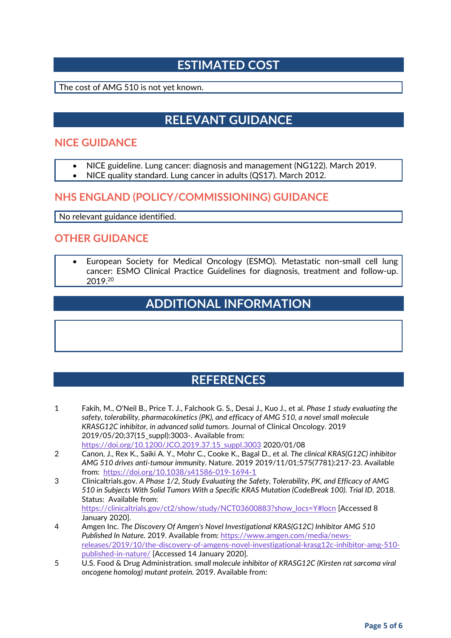# **ESTIMATED COST**

The cost of AMG 510 is not yet known.

# **RELEVANT GUIDANCE**

#### **NICE GUIDANCE**

- NICE guideline. Lung cancer: diagnosis and management (NG122). March 2019.
- NICE quality standard. Lung cancer in adults (QS17). March 2012.

#### **NHS ENGLAND (POLICY/COMMISSIONING) GUIDANCE**

No relevant guidance identified.

#### **OTHER GUIDANCE**

• European Society for Medical Oncology (ESMO). Metastatic non-small cell lung cancer: ESMO Clinical Practice Guidelines for diagnosis, treatment and follow-up. 2019.20

# **ADDITIONAL INFORMATION**

### **REFERENCES**

- 1 Fakih, M., O'Neil B., Price T. J., Falchook G. S., Desai J., Kuo J., et al. *Phase 1 study evaluating the safety, tolerability, pharmacokinetics (PK), and efficacy of AMG 510, a novel small molecule KRASG12C inhibitor, in advanced solid tumors*. Journal of Clinical Oncology. 2019 2019/05/20;37(15\_suppl):3003-. Available from: [https://doi.org/10.1200/JCO.2019.37.15\\_suppl.3003](https://doi.org/10.1200/JCO.2019.37.15_suppl.3003) 2020/01/08
- 2 Canon, J., Rex K., Saiki A. Y., Mohr C., Cooke K., Bagal D., et al. *The clinical KRAS(G12C) inhibitor AMG 510 drives anti-tumour immunity*. Nature. 2019 2019/11/01;575(7781):217-23. Available from:<https://doi.org/10.1038/s41586-019-1694-1>
- 3 Clinicaltrials.gov. *A Phase 1/2, Study Evaluating the Safety, Tolerability, PK, and Efficacy of AMG 510 in Subjects With Solid Tumors With a Specific KRAS Mutation (CodeBreak 100)*. *Trial ID*. 2018. Status: Available from: [https://clinicaltrials.gov/ct2/show/study/NCT03600883?show\\_locs=Y#locn](https://clinicaltrials.gov/ct2/show/study/NCT03600883?show_locs=Y#locn) [Accessed 8 January 2020].
- 4 Amgen Inc. *The Discovery Of Amgen's Novel Investigational KRAS(G12C) Inhibitor AMG 510 Published In Nature.* 2019. Available from: [https://www.amgen.com/media/news](https://www.amgen.com/media/news-releases/2019/10/the-discovery-of-amgens-novel-investigational-krasg12c-inhibitor-amg-510-published-in-nature/)[releases/2019/10/the-discovery-of-amgens-novel-investigational-krasg12c-inhibitor-amg-510](https://www.amgen.com/media/news-releases/2019/10/the-discovery-of-amgens-novel-investigational-krasg12c-inhibitor-amg-510-published-in-nature/) [published-in-nature/](https://www.amgen.com/media/news-releases/2019/10/the-discovery-of-amgens-novel-investigational-krasg12c-inhibitor-amg-510-published-in-nature/) [Accessed 14 January 2020].
- 5 U.S. Food & Drug Administration. *small molecule inhibitor of KRASG12C (Kirsten rat sarcoma viral oncogene homolog) mutant protein.* 2019. Available from: